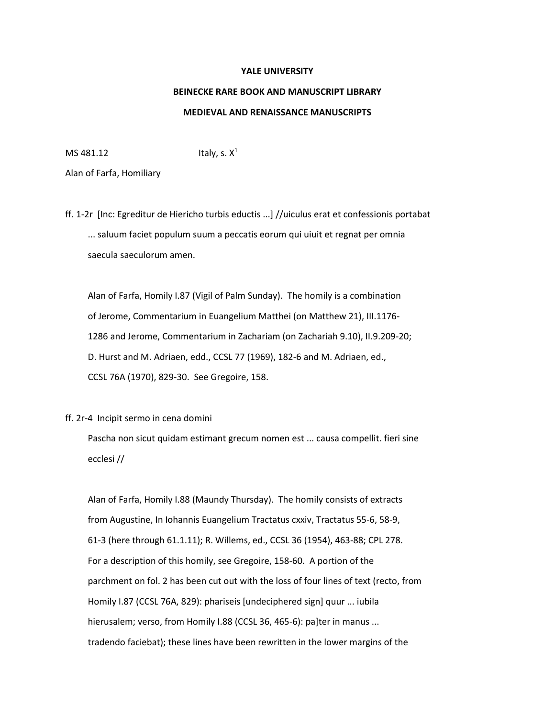## **YALE UNIVERSITY**

## **BEINECKE RARE BOOK AND MANUSCRIPT LIBRARY MEDIEVAL AND RENAISSANCE MANUSCRIPTS**

MS 481.12 **Italy, s.**  $X^1$ 

Alan of Farfa, Homiliary

ff. 1-2r [Inc: Egreditur de Hiericho turbis eductis ...] //uiculus erat et confessionis portabat ... saluum faciet populum suum a peccatis eorum qui uiuit et regnat per omnia saecula saeculorum amen.

 Alan of Farfa, Homily I.87 (Vigil of Palm Sunday). The homily is a combination of Jerome, Commentarium in Euangelium Matthei (on Matthew 21), III.1176- 1286 and Jerome, Commentarium in Zachariam (on Zachariah 9.10), II.9.209-20; D. Hurst and M. Adriaen, edd., CCSL 77 (1969), 182-6 and M. Adriaen, ed., CCSL 76A (1970), 829-30. See Gregoire, 158.

## ff. 2r-4 Incipit sermo in cena domini

 Pascha non sicut quidam estimant grecum nomen est ... causa compellit. fieri sine ecclesi //

 Alan of Farfa, Homily I.88 (Maundy Thursday). The homily consists of extracts from Augustine, In Iohannis Euangelium Tractatus cxxiv, Tractatus 55-6, 58-9, 61-3 (here through 61.1.11); R. Willems, ed., CCSL 36 (1954), 463-88; CPL 278. For a description of this homily, see Gregoire, 158-60. A portion of the parchment on fol. 2 has been cut out with the loss of four lines of text (recto, from Homily I.87 (CCSL 76A, 829): phariseis [undeciphered sign] quur ... iubila hierusalem; verso, from Homily I.88 (CCSL 36, 465-6): pa]ter in manus ... tradendo faciebat); these lines have been rewritten in the lower margins of the